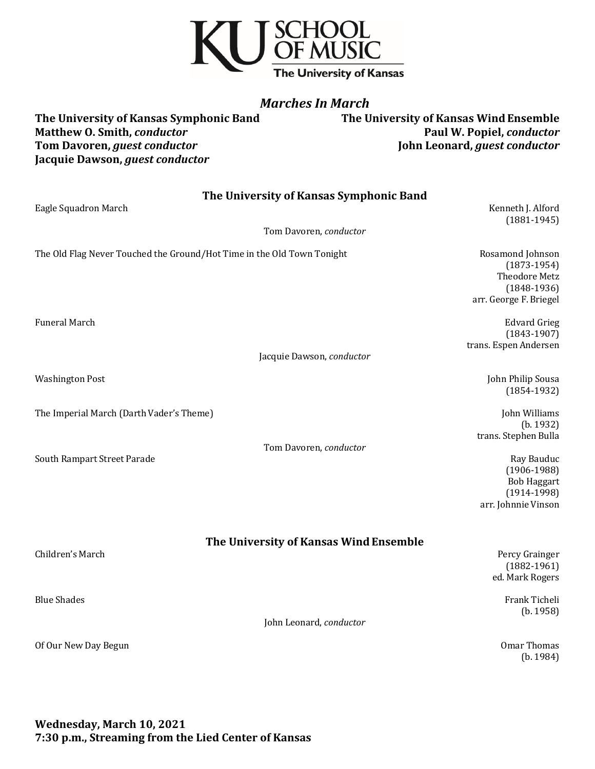

# *Marches In March*

The University of Kansas Symphonic Band **The University of Kansas Wind Ensemble Matthew O. Smith, conductor**<br> **Paul W. Popiel, conductor**<br> **Paul W. Popiel, conductor**<br> **Paul W. Popiel, conductor Tom Davoren,** *guest conductor* Jacquie Dawson, *guest conductor* 

| The University of Kansas Symphonic Band<br>Eagle Squadron March        | Kenneth J. Alford<br>$(1881 - 1945)$                                                          |
|------------------------------------------------------------------------|-----------------------------------------------------------------------------------------------|
| Tom Davoren, conductor                                                 |                                                                                               |
| The Old Flag Never Touched the Ground/Hot Time in the Old Town Tonight | Rosamond Johnson<br>$(1873-1954)$<br>Theodore Metz<br>$(1848-1936)$<br>arr. George F. Briegel |
| Funeral March                                                          | <b>Edvard Grieg</b><br>$(1843-1907)$<br>trans. Espen Andersen                                 |
| Jacquie Dawson, conductor                                              |                                                                                               |
| <b>Washington Post</b>                                                 | John Philip Sousa<br>$(1854-1932)$                                                            |
| The Imperial March (Darth Vader's Theme)                               | John Williams<br>(b. 1932)<br>trans. Stephen Bulla                                            |
| Tom Davoren, conductor<br>South Rampart Street Parade                  | Ray Bauduc<br>$(1906-1988)$<br><b>Bob Haggart</b><br>$(1914-1998)$<br>arr. Johnnie Vinson     |
| The University of Kansas Wind Ensemble<br>Children's March             | Percy Grainger<br>$(1882 - 1961)$<br>ed. Mark Rogers                                          |
| <b>Blue Shades</b><br>John Leonard, conductor                          | Frank Ticheli<br>(b. 1958)                                                                    |
| Of Our New Day Begun                                                   | <b>Omar Thomas</b><br>(b. 1984)                                                               |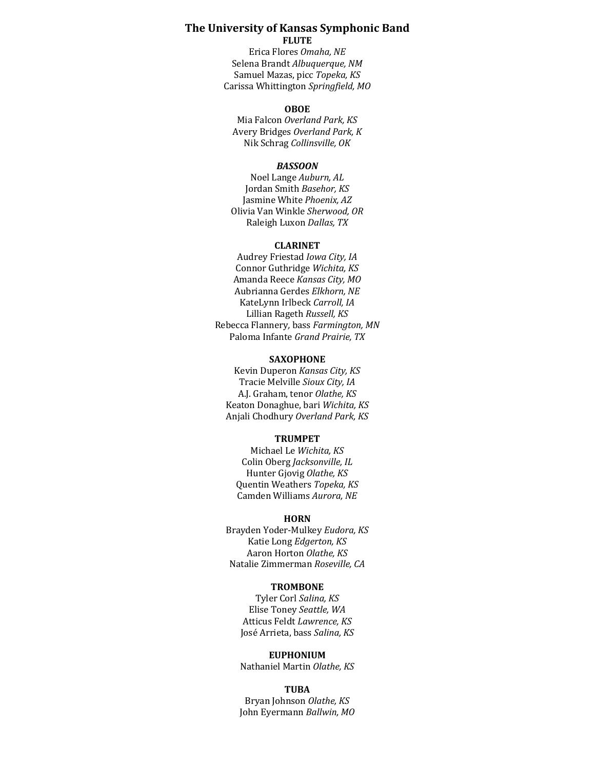### **The University of Kansas Symphonic Band FLUTE**

Erica Flores *Omaha, NE* Selena Brandt Albuquerque, NM Samuel Mazas, picc Topeka, KS Carissa Whittington *Springfield, MO*

### **OBOE**

Mia Falcon Overland Park, KS Avery Bridges *Overland Park, K* Nik Schrag *Collinsville, OK*

### *BASSOON*

Noel Lange *Auburn, AL* Jordan Smith Basehor, KS Jasmine White *Phoenix, AZ* Olivia Van Winkle *Sherwood, OR* Raleigh Luxon *Dallas, TX*

### **CLARINET**

Audrey Friestad *Iowa City*, IA Connor Guthridge *Wichita, KS* Amanda Reece *Kansas City, MO* Aubrianna Gerdes *Elkhorn, NE* KateLynn Irlbeck *Carroll, IA* Lillian Rageth *Russell, KS* Rebecca Flannery*,* bass *Farmington, MN* Paloma Infante *Grand Prairie, TX*

#### **SAXOPHONE**

Kevin Duperon *Kansas City, KS* Tracie Melville *Sioux City, IA* A.J. Graham, tenor Olathe, KS Keaton Donaghue, bari *Wichita, KS* Anjali Chodhury Overland Park, KS

### **TRUMPET**

Michael Le *Wichita, KS* Colin Oberg *Jacksonville, IL* Hunter Gjovig Olathe, KS Quentin Weathers *Topeka, KS* Camden Williams *Aurora, NE*

#### **HORN**

Brayden Yoder-Mulkey *Eudora, KS* Katie Long *Edgerton, KS* Aaron Horton *Olathe, KS* Natalie Zimmerman *Roseville, CA*

#### **TROMBONE**

Tyler Corl Salina, KS Elise Toney *Seattle, WA* Atticus Feldt Lawrence, KS José Arrieta, bass Salina, KS

#### **EUPHONIUM**

Nathaniel Martin *Olathe, KS*

### **TUBA**

Bryan Johnson Olathe, KS John Eyermann Ballwin, MO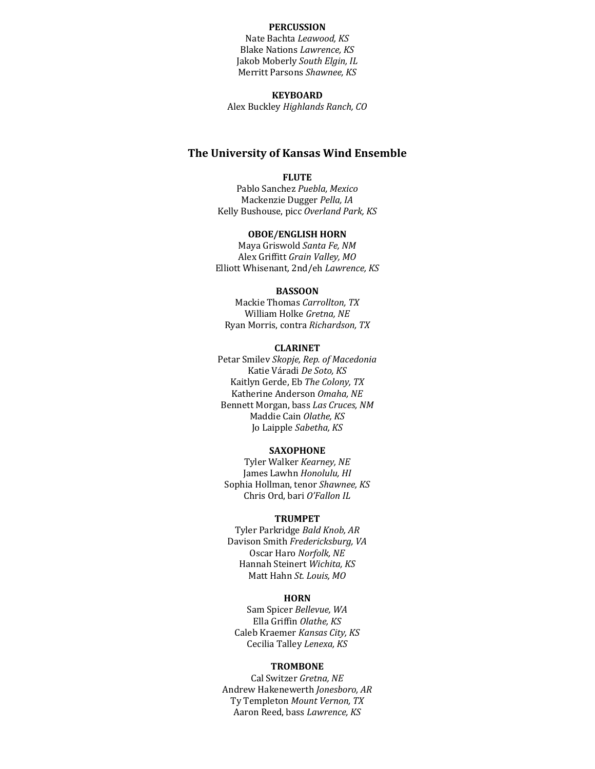## **PERCUSSION**

Nate Bachta *Leawood*, KS **Blake Nations Lawrence, KS** Jakob Moberly South Elgin, IL **Merritt Parsons Shawnee, KS** 

#### **KEYBOARD**

Alex Buckley *Highlands Ranch, CO*

## **The University of Kansas Wind Ensemble**

### **FLUTE**

Pablo Sanchez *Puebla, Mexico* Mackenzie Dugger *Pella, IA* Kelly Bushouse, picc Overland Park, KS

### **OBOE/ENGLISH HORN**

Maya Griswold *Santa Fe, NM* Alex Griffitt Grain Valley, MO Elliott Whisenant*,* 2nd/eh *Lawrence, KS*

#### **BASSOON**

Mackie Thomas *Carrollton, TX* William Holke Gretna, NE Ryan Morris, contra *Richardson, TX*

#### **CLARINET**

Petar Smilev Skopje, Rep. of Macedonia Katie Váradi *De Soto, KS* Kaitlyn Gerde, Eb *The Colony, TX* Katherine Anderson Omaha, NE Bennett Morgan, bass Las Cruces, NM Maddie Cain *Olathe, KS* Jo Laipple *Sabetha*, KS

#### **SAXOPHONE**

Tyler Walker *Kearney*, NE James Lawhn Honolulu, HI Sophia Hollman, tenor Shawnee, KS Chris Ord, bari O'Fallon IL

#### **TRUMPET**

Tyler Parkridge *Bald Knob*, AR Davison Smith *Fredericksburg, VA* Oscar Haro Norfolk, NE Hannah Steinert *Wichita, KS* Matt Hahn St. Louis, MO

## **HORN**

Sam Spicer *Bellevue, WA* Ella Griffin *Olathe, KS* Caleb Kraemer *Kansas City, KS* Cecilia Talley *Lenexa, KS*

#### **TROMBONE**

Cal Switzer *Gretna, NE* Andrew Hakenewerth *Jonesboro, AR* Ty Templeton Mount Vernon, TX Aaron Reed, bass *Lawrence*, KS